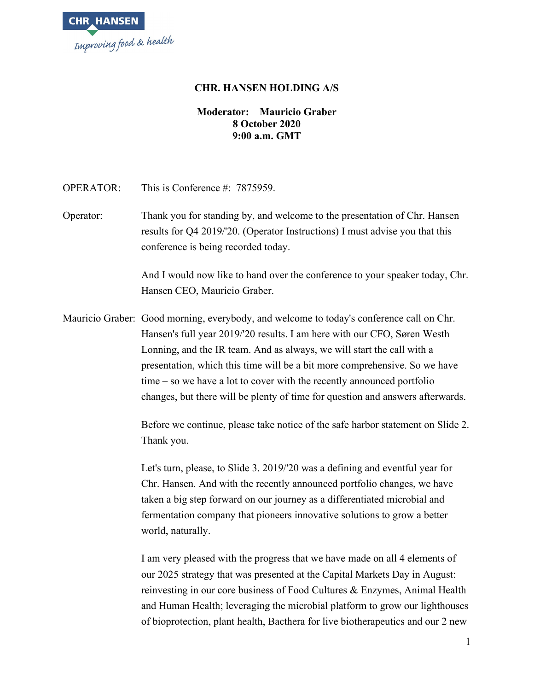

## **CHR. HANSEN HOLDING A/S**

## **Moderator: Mauricio Graber 8 October 2020 9:00 a.m. GMT**

OPERATOR: This is Conference #: 7875959.

Operator: Thank you for standing by, and welcome to the presentation of Chr. Hansen results for Q4 2019/'20. (Operator Instructions) I must advise you that this conference is being recorded today.

> And I would now like to hand over the conference to your speaker today, Chr. Hansen CEO, Mauricio Graber.

Mauricio Graber: Good morning, everybody, and welcome to today's conference call on Chr. Hansen's full year 2019/'20 results. I am here with our CFO, Søren Westh Lonning, and the IR team. And as always, we will start the call with a presentation, which this time will be a bit more comprehensive. So we have time – so we have a lot to cover with the recently announced portfolio changes, but there will be plenty of time for question and answers afterwards.

> Before we continue, please take notice of the safe harbor statement on Slide 2. Thank you.

Let's turn, please, to Slide 3. 2019/'20 was a defining and eventful year for Chr. Hansen. And with the recently announced portfolio changes, we have taken a big step forward on our journey as a differentiated microbial and fermentation company that pioneers innovative solutions to grow a better world, naturally.

I am very pleased with the progress that we have made on all 4 elements of our 2025 strategy that was presented at the Capital Markets Day in August: reinvesting in our core business of Food Cultures & Enzymes, Animal Health and Human Health; leveraging the microbial platform to grow our lighthouses of bioprotection, plant health, Bacthera for live biotherapeutics and our 2 new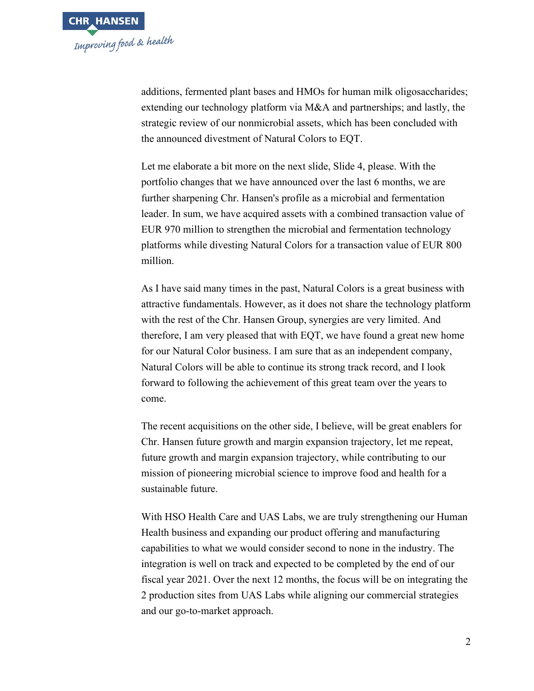

additions, fermented plant bases and HMOs for human milk oligosaccharides; extending our technology platform via M&A and partnerships; and lastly, the strategic review of our nonmicrobial assets, which has been concluded with the announced divestment of Natural Colors to EQT.

Let me elaborate a bit more on the next slide, Slide 4, please. With the portfolio changes that we have announced over the last 6 months, we are further sharpening Chr. Hansen's profile as a microbial and fermentation leader. In sum, we have acquired assets with a combined transaction value of EUR 970 million to strengthen the microbial and fermentation technology platforms while divesting Natural Colors for a transaction value of EUR 800 million.

As I have said many times in the past, Natural Colors is a great business with attractive fundamentals. However, as it does not share the technology platform with the rest of the Chr. Hansen Group, synergies are very limited. And therefore, I am very pleased that with EQT, we have found a great new home for our Natural Color business. I am sure that as an independent company, Natural Colors will be able to continue its strong track record, and I look forward to following the achievement of this great team over the years to come.

The recent acquisitions on the other side, I believe, will be great enablers for Chr. Hansen future growth and margin expansion trajectory, let me repeat, future growth and margin expansion trajectory, while contributing to our mission of pioneering microbial science to improve food and health for a sustainable future.

With HSO Health Care and UAS Labs, we are truly strengthening our Human Health business and expanding our product offering and manufacturing capabilities to what we would consider second to none in the industry. The integration is well on track and expected to be completed by the end of our fiscal year 2021. Over the next 12 months, the focus will be on integrating the 2 production sites from UAS Labs while aligning our commercial strategies and our go-to-market approach.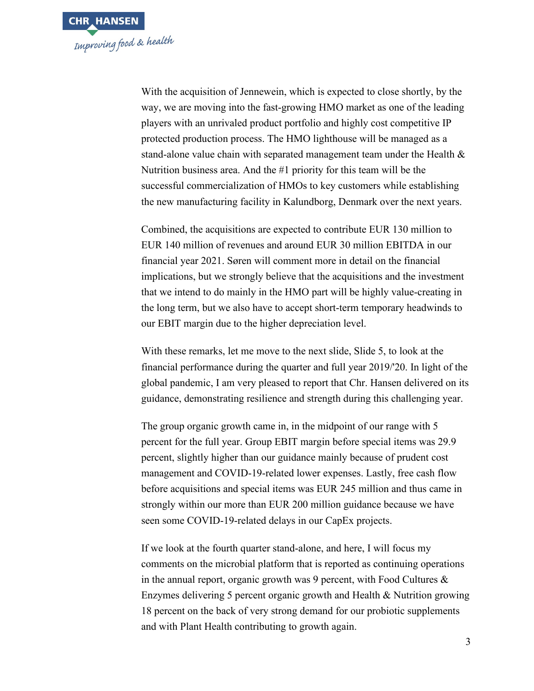

With the acquisition of Jennewein, which is expected to close shortly, by the way, we are moving into the fast-growing HMO market as one of the leading players with an unrivaled product portfolio and highly cost competitive IP protected production process. The HMO lighthouse will be managed as a stand-alone value chain with separated management team under the Health & Nutrition business area. And the #1 priority for this team will be the successful commercialization of HMOs to key customers while establishing the new manufacturing facility in Kalundborg, Denmark over the next years.

Combined, the acquisitions are expected to contribute EUR 130 million to EUR 140 million of revenues and around EUR 30 million EBITDA in our financial year 2021. Søren will comment more in detail on the financial implications, but we strongly believe that the acquisitions and the investment that we intend to do mainly in the HMO part will be highly value-creating in the long term, but we also have to accept short-term temporary headwinds to our EBIT margin due to the higher depreciation level.

With these remarks, let me move to the next slide, Slide 5, to look at the financial performance during the quarter and full year 2019/'20. In light of the global pandemic, I am very pleased to report that Chr. Hansen delivered on its guidance, demonstrating resilience and strength during this challenging year.

The group organic growth came in, in the midpoint of our range with 5 percent for the full year. Group EBIT margin before special items was 29.9 percent, slightly higher than our guidance mainly because of prudent cost management and COVID-19-related lower expenses. Lastly, free cash flow before acquisitions and special items was EUR 245 million and thus came in strongly within our more than EUR 200 million guidance because we have seen some COVID-19-related delays in our CapEx projects.

If we look at the fourth quarter stand-alone, and here, I will focus my comments on the microbial platform that is reported as continuing operations in the annual report, organic growth was 9 percent, with Food Cultures & Enzymes delivering 5 percent organic growth and Health & Nutrition growing 18 percent on the back of very strong demand for our probiotic supplements and with Plant Health contributing to growth again.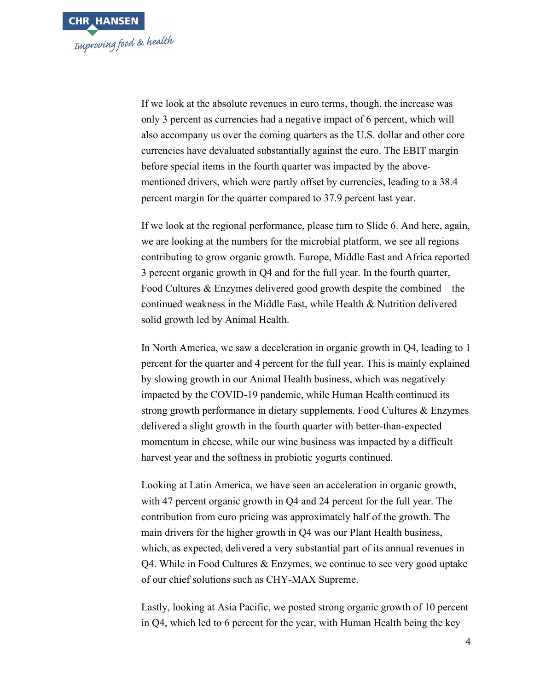

If we look at the absolute revenues in euro terms, though, the increase was only 3 percent as currencies had a negative impact of 6 percent, which will also accompany us over the coming quarters as the U.S. dollar and other core currencies have devaluated substantially against the euro. The EBIT margin before special items in the fourth quarter was impacted by the abovementioned drivers, which were partly offset by currencies, leading to a 38.4 percent margin for the quarter compared to 37.9 percent last year.

If we look at the regional performance, please turn to Slide 6. And here, again, we are looking at the numbers for the microbial platform, we see all regions contributing to grow organic growth. Europe, Middle East and Africa reported 3 percent organic growth in Q4 and for the full year. In the fourth quarter, Food Cultures & Enzymes delivered good growth despite the combined – the continued weakness in the Middle East, while Health & Nutrition delivered solid growth led by Animal Health.

In North America, we saw a deceleration in organic growth in Q4, leading to 1 percent for the quarter and 4 percent for the full year. This is mainly explained by slowing growth in our Animal Health business, which was negatively impacted by the COVID-19 pandemic, while Human Health continued its strong growth performance in dietary supplements. Food Cultures & Enzymes delivered a slight growth in the fourth quarter with better-than-expected momentum in cheese, while our wine business was impacted by a difficult harvest year and the softness in probiotic yogurts continued.

Looking at Latin America, we have seen an acceleration in organic growth, with 47 percent organic growth in Q4 and 24 percent for the full year. The contribution from euro pricing was approximately half of the growth. The main drivers for the higher growth in Q4 was our Plant Health business, which, as expected, delivered a very substantial part of its annual revenues in Q4. While in Food Cultures & Enzymes, we continue to see very good uptake of our chief solutions such as CHY-MAX Supreme.

Lastly, looking at Asia Pacific, we posted strong organic growth of 10 percent in Q4, which led to 6 percent for the year, with Human Health being the key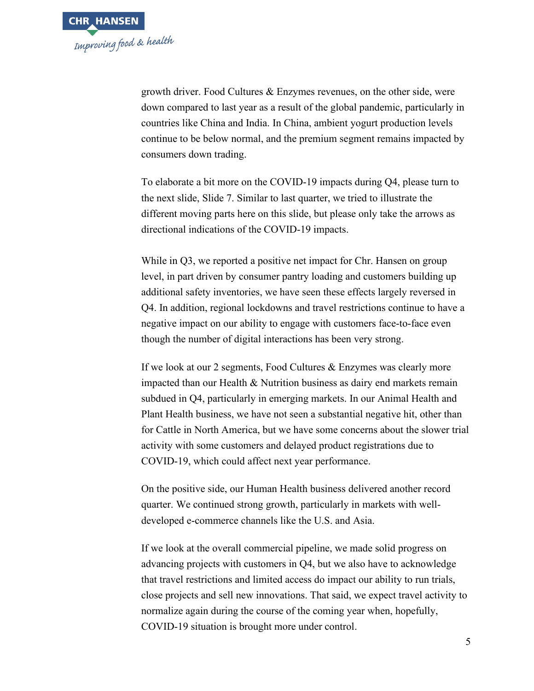

growth driver. Food Cultures & Enzymes revenues, on the other side, were down compared to last year as a result of the global pandemic, particularly in countries like China and India. In China, ambient yogurt production levels continue to be below normal, and the premium segment remains impacted by consumers down trading.

To elaborate a bit more on the COVID-19 impacts during Q4, please turn to the next slide, Slide 7. Similar to last quarter, we tried to illustrate the different moving parts here on this slide, but please only take the arrows as directional indications of the COVID-19 impacts.

While in Q3, we reported a positive net impact for Chr. Hansen on group level, in part driven by consumer pantry loading and customers building up additional safety inventories, we have seen these effects largely reversed in Q4. In addition, regional lockdowns and travel restrictions continue to have a negative impact on our ability to engage with customers face-to-face even though the number of digital interactions has been very strong.

If we look at our 2 segments, Food Cultures & Enzymes was clearly more impacted than our Health & Nutrition business as dairy end markets remain subdued in Q4, particularly in emerging markets. In our Animal Health and Plant Health business, we have not seen a substantial negative hit, other than for Cattle in North America, but we have some concerns about the slower trial activity with some customers and delayed product registrations due to COVID-19, which could affect next year performance.

On the positive side, our Human Health business delivered another record quarter. We continued strong growth, particularly in markets with welldeveloped e-commerce channels like the U.S. and Asia.

If we look at the overall commercial pipeline, we made solid progress on advancing projects with customers in Q4, but we also have to acknowledge that travel restrictions and limited access do impact our ability to run trials, close projects and sell new innovations. That said, we expect travel activity to normalize again during the course of the coming year when, hopefully, COVID-19 situation is brought more under control.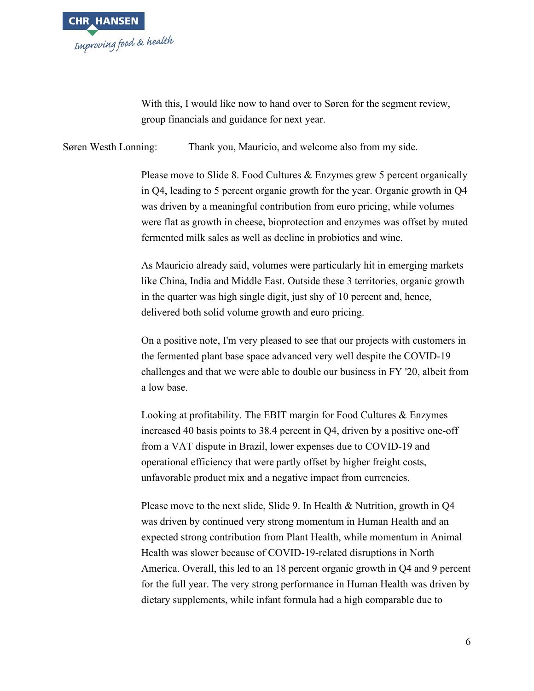

With this, I would like now to hand over to Søren for the segment review, group financials and guidance for next year.

Søren Westh Lonning: Thank you, Mauricio, and welcome also from my side.

Please move to Slide 8. Food Cultures & Enzymes grew 5 percent organically in Q4, leading to 5 percent organic growth for the year. Organic growth in Q4 was driven by a meaningful contribution from euro pricing, while volumes were flat as growth in cheese, bioprotection and enzymes was offset by muted fermented milk sales as well as decline in probiotics and wine.

As Mauricio already said, volumes were particularly hit in emerging markets like China, India and Middle East. Outside these 3 territories, organic growth in the quarter was high single digit, just shy of 10 percent and, hence, delivered both solid volume growth and euro pricing.

On a positive note, I'm very pleased to see that our projects with customers in the fermented plant base space advanced very well despite the COVID-19 challenges and that we were able to double our business in FY '20, albeit from a low base.

Looking at profitability. The EBIT margin for Food Cultures & Enzymes increased 40 basis points to 38.4 percent in Q4, driven by a positive one-off from a VAT dispute in Brazil, lower expenses due to COVID-19 and operational efficiency that were partly offset by higher freight costs, unfavorable product mix and a negative impact from currencies.

Please move to the next slide, Slide 9. In Health & Nutrition, growth in Q4 was driven by continued very strong momentum in Human Health and an expected strong contribution from Plant Health, while momentum in Animal Health was slower because of COVID-19-related disruptions in North America. Overall, this led to an 18 percent organic growth in Q4 and 9 percent for the full year. The very strong performance in Human Health was driven by dietary supplements, while infant formula had a high comparable due to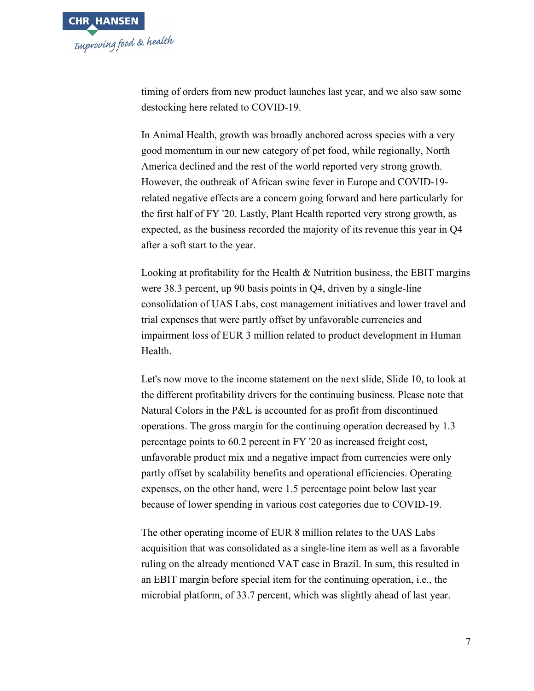

timing of orders from new product launches last year, and we also saw some destocking here related to COVID-19.

In Animal Health, growth was broadly anchored across species with a very good momentum in our new category of pet food, while regionally, North America declined and the rest of the world reported very strong growth. However, the outbreak of African swine fever in Europe and COVID-19 related negative effects are a concern going forward and here particularly for the first half of FY '20. Lastly, Plant Health reported very strong growth, as expected, as the business recorded the majority of its revenue this year in Q4 after a soft start to the year.

Looking at profitability for the Health & Nutrition business, the EBIT margins were 38.3 percent, up 90 basis points in Q4, driven by a single-line consolidation of UAS Labs, cost management initiatives and lower travel and trial expenses that were partly offset by unfavorable currencies and impairment loss of EUR 3 million related to product development in Human Health.

Let's now move to the income statement on the next slide, Slide 10, to look at the different profitability drivers for the continuing business. Please note that Natural Colors in the P&L is accounted for as profit from discontinued operations. The gross margin for the continuing operation decreased by 1.3 percentage points to 60.2 percent in FY '20 as increased freight cost, unfavorable product mix and a negative impact from currencies were only partly offset by scalability benefits and operational efficiencies. Operating expenses, on the other hand, were 1.5 percentage point below last year because of lower spending in various cost categories due to COVID-19.

The other operating income of EUR 8 million relates to the UAS Labs acquisition that was consolidated as a single-line item as well as a favorable ruling on the already mentioned VAT case in Brazil. In sum, this resulted in an EBIT margin before special item for the continuing operation, i.e., the microbial platform, of 33.7 percent, which was slightly ahead of last year.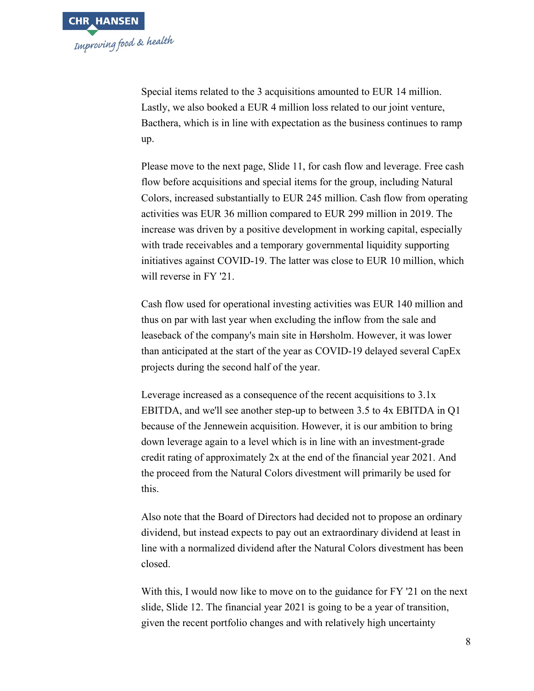Special items related to the 3 acquisitions amounted to EUR 14 million. Lastly, we also booked a EUR 4 million loss related to our joint venture, Bacthera, which is in line with expectation as the business continues to ramp up.

Please move to the next page, Slide 11, for cash flow and leverage. Free cash flow before acquisitions and special items for the group, including Natural Colors, increased substantially to EUR 245 million. Cash flow from operating activities was EUR 36 million compared to EUR 299 million in 2019. The increase was driven by a positive development in working capital, especially with trade receivables and a temporary governmental liquidity supporting initiatives against COVID-19. The latter was close to EUR 10 million, which will reverse in FY '21.

Cash flow used for operational investing activities was EUR 140 million and thus on par with last year when excluding the inflow from the sale and leaseback of the company's main site in Hørsholm. However, it was lower than anticipated at the start of the year as COVID-19 delayed several CapEx projects during the second half of the year.

Leverage increased as a consequence of the recent acquisitions to 3.1x EBITDA, and we'll see another step-up to between 3.5 to 4x EBITDA in Q1 because of the Jennewein acquisition. However, it is our ambition to bring down leverage again to a level which is in line with an investment-grade credit rating of approximately 2x at the end of the financial year 2021. And the proceed from the Natural Colors divestment will primarily be used for this.

Also note that the Board of Directors had decided not to propose an ordinary dividend, but instead expects to pay out an extraordinary dividend at least in line with a normalized dividend after the Natural Colors divestment has been closed.

With this, I would now like to move on to the guidance for FY '21 on the next slide, Slide 12. The financial year 2021 is going to be a year of transition, given the recent portfolio changes and with relatively high uncertainty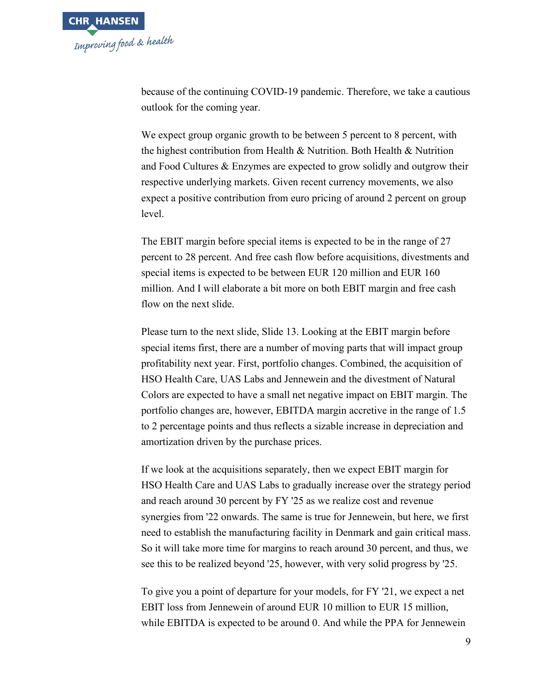

because of the continuing COVID-19 pandemic. Therefore, we take a cautious outlook for the coming year.

We expect group organic growth to be between 5 percent to 8 percent, with the highest contribution from Health & Nutrition. Both Health & Nutrition and Food Cultures & Enzymes are expected to grow solidly and outgrow their respective underlying markets. Given recent currency movements, we also expect a positive contribution from euro pricing of around 2 percent on group level.

The EBIT margin before special items is expected to be in the range of 27 percent to 28 percent. And free cash flow before acquisitions, divestments and special items is expected to be between EUR 120 million and EUR 160 million. And I will elaborate a bit more on both EBIT margin and free cash flow on the next slide.

Please turn to the next slide, Slide 13. Looking at the EBIT margin before special items first, there are a number of moving parts that will impact group profitability next year. First, portfolio changes. Combined, the acquisition of HSO Health Care, UAS Labs and Jennewein and the divestment of Natural Colors are expected to have a small net negative impact on EBIT margin. The portfolio changes are, however, EBITDA margin accretive in the range of 1.5 to 2 percentage points and thus reflects a sizable increase in depreciation and amortization driven by the purchase prices.

If we look at the acquisitions separately, then we expect EBIT margin for HSO Health Care and UAS Labs to gradually increase over the strategy period and reach around 30 percent by FY '25 as we realize cost and revenue synergies from '22 onwards. The same is true for Jennewein, but here, we first need to establish the manufacturing facility in Denmark and gain critical mass. So it will take more time for margins to reach around 30 percent, and thus, we see this to be realized beyond '25, however, with very solid progress by '25.

To give you a point of departure for your models, for FY '21, we expect a net EBIT loss from Jennewein of around EUR 10 million to EUR 15 million, while EBITDA is expected to be around 0. And while the PPA for Jennewein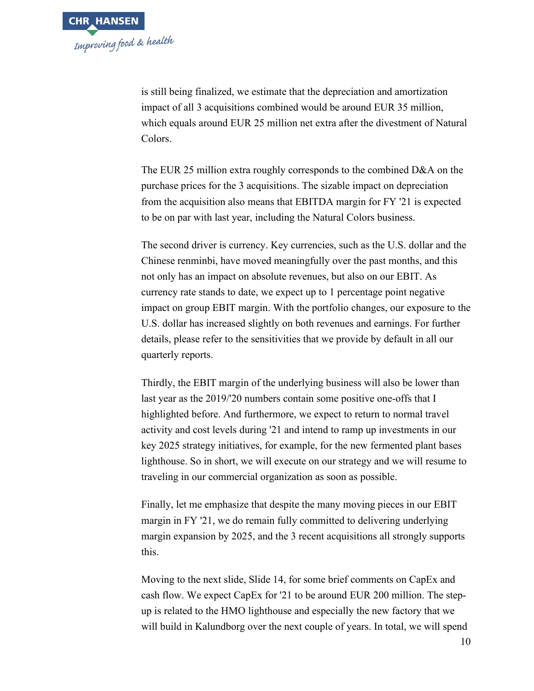is still being finalized, we estimate that the depreciation and amortization impact of all 3 acquisitions combined would be around EUR 35 million, which equals around EUR 25 million net extra after the divestment of Natural Colors.

The EUR 25 million extra roughly corresponds to the combined D&A on the purchase prices for the 3 acquisitions. The sizable impact on depreciation from the acquisition also means that EBITDA margin for FY '21 is expected to be on par with last year, including the Natural Colors business.

The second driver is currency. Key currencies, such as the U.S. dollar and the Chinese renminbi, have moved meaningfully over the past months, and this not only has an impact on absolute revenues, but also on our EBIT. As currency rate stands to date, we expect up to 1 percentage point negative impact on group EBIT margin. With the portfolio changes, our exposure to the U.S. dollar has increased slightly on both revenues and earnings. For further details, please refer to the sensitivities that we provide by default in all our quarterly reports.

Thirdly, the EBIT margin of the underlying business will also be lower than last year as the 2019/'20 numbers contain some positive one-offs that I highlighted before. And furthermore, we expect to return to normal travel activity and cost levels during '21 and intend to ramp up investments in our key 2025 strategy initiatives, for example, for the new fermented plant bases lighthouse. So in short, we will execute on our strategy and we will resume to traveling in our commercial organization as soon as possible.

Finally, let me emphasize that despite the many moving pieces in our EBIT margin in FY '21, we do remain fully committed to delivering underlying margin expansion by 2025, and the 3 recent acquisitions all strongly supports this.

Moving to the next slide, Slide 14, for some brief comments on CapEx and cash flow. We expect CapEx for '21 to be around EUR 200 million. The stepup is related to the HMO lighthouse and especially the new factory that we will build in Kalundborg over the next couple of years. In total, we will spend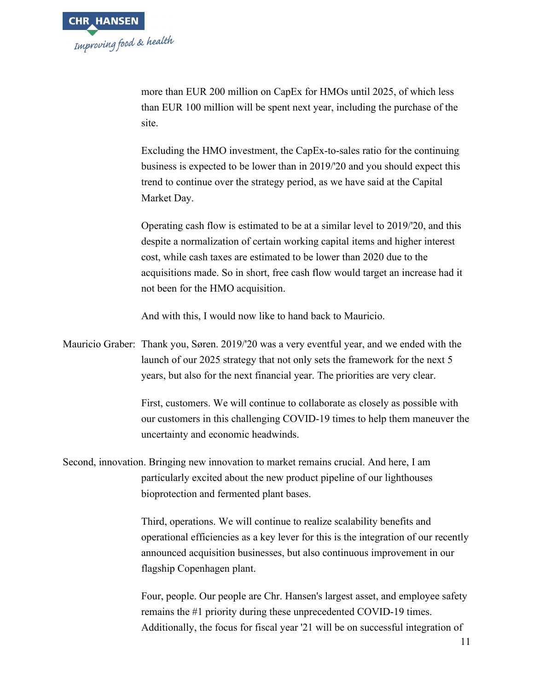more than EUR 200 million on CapEx for HMOs until 2025, of which less than EUR 100 million will be spent next year, including the purchase of the site.

Excluding the HMO investment, the CapEx-to-sales ratio for the continuing business is expected to be lower than in 2019/'20 and you should expect this trend to continue over the strategy period, as we have said at the Capital Market Day.

Operating cash flow is estimated to be at a similar level to 2019/'20, and this despite a normalization of certain working capital items and higher interest cost, while cash taxes are estimated to be lower than 2020 due to the acquisitions made. So in short, free cash flow would target an increase had it not been for the HMO acquisition.

And with this, I would now like to hand back to Mauricio.

Mauricio Graber: Thank you, Søren. 2019/'20 was a very eventful year, and we ended with the launch of our 2025 strategy that not only sets the framework for the next 5 years, but also for the next financial year. The priorities are very clear.

> First, customers. We will continue to collaborate as closely as possible with our customers in this challenging COVID-19 times to help them maneuver the uncertainty and economic headwinds.

Second, innovation. Bringing new innovation to market remains crucial. And here, I am particularly excited about the new product pipeline of our lighthouses bioprotection and fermented plant bases.

> Third, operations. We will continue to realize scalability benefits and operational efficiencies as a key lever for this is the integration of our recently announced acquisition businesses, but also continuous improvement in our flagship Copenhagen plant.

> Four, people. Our people are Chr. Hansen's largest asset, and employee safety remains the #1 priority during these unprecedented COVID-19 times. Additionally, the focus for fiscal year '21 will be on successful integration of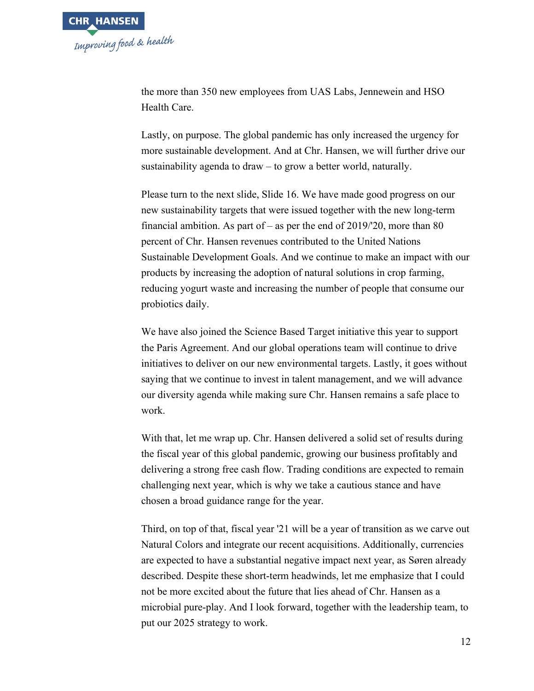

the more than 350 new employees from UAS Labs, Jennewein and HSO Health Care.

Lastly, on purpose. The global pandemic has only increased the urgency for more sustainable development. And at Chr. Hansen, we will further drive our sustainability agenda to draw – to grow a better world, naturally.

Please turn to the next slide, Slide 16. We have made good progress on our new sustainability targets that were issued together with the new long-term financial ambition. As part of – as per the end of  $2019/20$ , more than 80 percent of Chr. Hansen revenues contributed to the United Nations Sustainable Development Goals. And we continue to make an impact with our products by increasing the adoption of natural solutions in crop farming, reducing yogurt waste and increasing the number of people that consume our probiotics daily.

We have also joined the Science Based Target initiative this year to support the Paris Agreement. And our global operations team will continue to drive initiatives to deliver on our new environmental targets. Lastly, it goes without saying that we continue to invest in talent management, and we will advance our diversity agenda while making sure Chr. Hansen remains a safe place to work.

With that, let me wrap up. Chr. Hansen delivered a solid set of results during the fiscal year of this global pandemic, growing our business profitably and delivering a strong free cash flow. Trading conditions are expected to remain challenging next year, which is why we take a cautious stance and have chosen a broad guidance range for the year.

Third, on top of that, fiscal year '21 will be a year of transition as we carve out Natural Colors and integrate our recent acquisitions. Additionally, currencies are expected to have a substantial negative impact next year, as Søren already described. Despite these short-term headwinds, let me emphasize that I could not be more excited about the future that lies ahead of Chr. Hansen as a microbial pure-play. And I look forward, together with the leadership team, to put our 2025 strategy to work.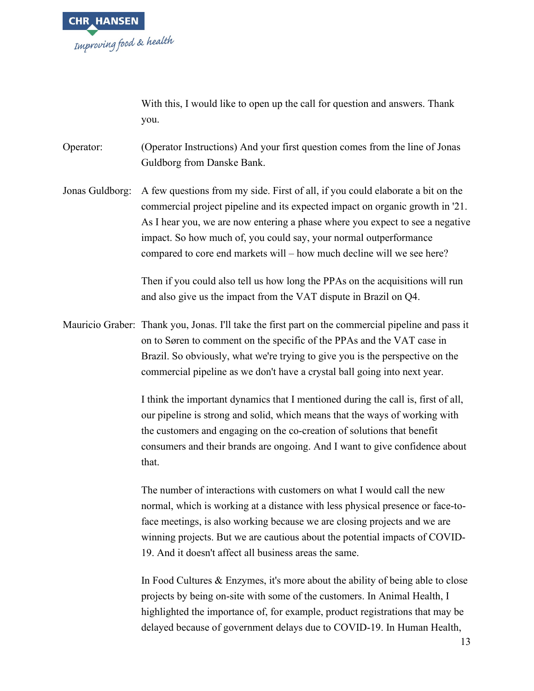

With this, I would like to open up the call for question and answers. Thank you.

Operator: (Operator Instructions) And your first question comes from the line of Jonas Guldborg from Danske Bank.

Jonas Guldborg: A few questions from my side. First of all, if you could elaborate a bit on the commercial project pipeline and its expected impact on organic growth in '21. As I hear you, we are now entering a phase where you expect to see a negative impact. So how much of, you could say, your normal outperformance compared to core end markets will – how much decline will we see here?

> Then if you could also tell us how long the PPAs on the acquisitions will run and also give us the impact from the VAT dispute in Brazil on Q4.

Mauricio Graber: Thank you, Jonas. I'll take the first part on the commercial pipeline and pass it on to Søren to comment on the specific of the PPAs and the VAT case in Brazil. So obviously, what we're trying to give you is the perspective on the commercial pipeline as we don't have a crystal ball going into next year.

> I think the important dynamics that I mentioned during the call is, first of all, our pipeline is strong and solid, which means that the ways of working with the customers and engaging on the co-creation of solutions that benefit consumers and their brands are ongoing. And I want to give confidence about that.

> The number of interactions with customers on what I would call the new normal, which is working at a distance with less physical presence or face-toface meetings, is also working because we are closing projects and we are winning projects. But we are cautious about the potential impacts of COVID-19. And it doesn't affect all business areas the same.

> In Food Cultures & Enzymes, it's more about the ability of being able to close projects by being on-site with some of the customers. In Animal Health, I highlighted the importance of, for example, product registrations that may be delayed because of government delays due to COVID-19. In Human Health,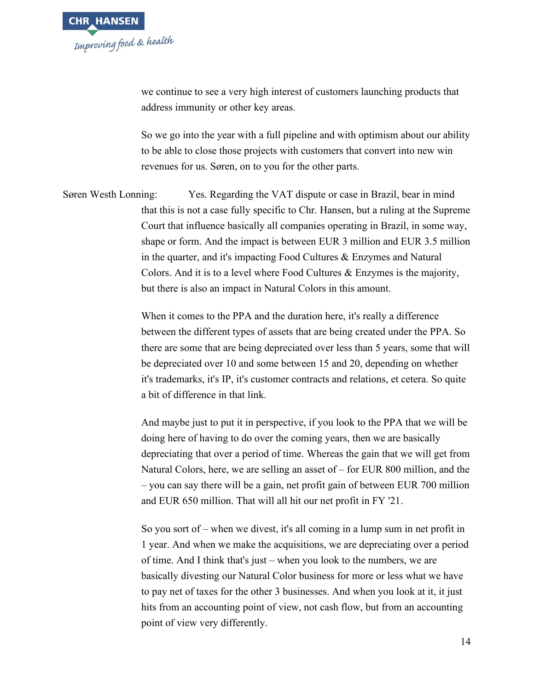

we continue to see a very high interest of customers launching products that address immunity or other key areas.

So we go into the year with a full pipeline and with optimism about our ability to be able to close those projects with customers that convert into new win revenues for us. Søren, on to you for the other parts.

Søren Westh Lonning: Yes. Regarding the VAT dispute or case in Brazil, bear in mind that this is not a case fully specific to Chr. Hansen, but a ruling at the Supreme Court that influence basically all companies operating in Brazil, in some way, shape or form. And the impact is between EUR 3 million and EUR 3.5 million in the quarter, and it's impacting Food Cultures & Enzymes and Natural Colors. And it is to a level where Food Cultures & Enzymes is the majority, but there is also an impact in Natural Colors in this amount.

> When it comes to the PPA and the duration here, it's really a difference between the different types of assets that are being created under the PPA. So there are some that are being depreciated over less than 5 years, some that will be depreciated over 10 and some between 15 and 20, depending on whether it's trademarks, it's IP, it's customer contracts and relations, et cetera. So quite a bit of difference in that link.

> And maybe just to put it in perspective, if you look to the PPA that we will be doing here of having to do over the coming years, then we are basically depreciating that over a period of time. Whereas the gain that we will get from Natural Colors, here, we are selling an asset of – for EUR 800 million, and the – you can say there will be a gain, net profit gain of between EUR 700 million and EUR 650 million. That will all hit our net profit in FY '21.

> So you sort of – when we divest, it's all coming in a lump sum in net profit in 1 year. And when we make the acquisitions, we are depreciating over a period of time. And I think that's just – when you look to the numbers, we are basically divesting our Natural Color business for more or less what we have to pay net of taxes for the other 3 businesses. And when you look at it, it just hits from an accounting point of view, not cash flow, but from an accounting point of view very differently.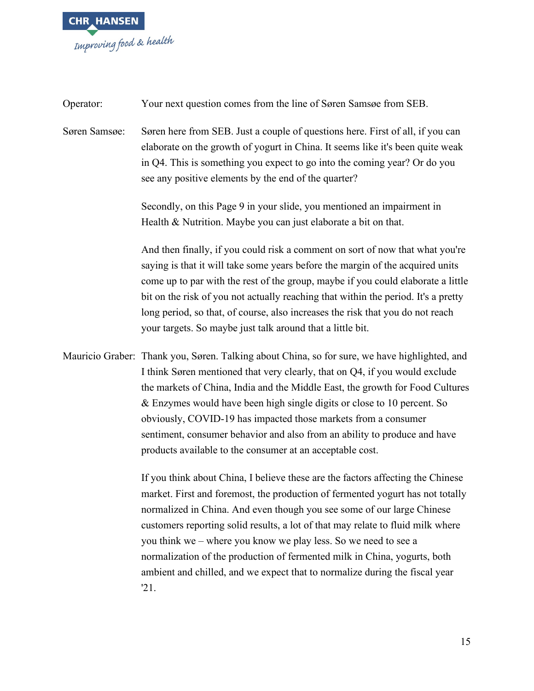

| Operator:     | Your next question comes from the line of Søren Samsøe from SEB.                                                                                                                                                                                                                                                                                                                                                                                                                                                                                                     |
|---------------|----------------------------------------------------------------------------------------------------------------------------------------------------------------------------------------------------------------------------------------------------------------------------------------------------------------------------------------------------------------------------------------------------------------------------------------------------------------------------------------------------------------------------------------------------------------------|
| Søren Samsøe: | Søren here from SEB. Just a couple of questions here. First of all, if you can<br>elaborate on the growth of yogurt in China. It seems like it's been quite weak<br>in Q4. This is something you expect to go into the coming year? Or do you<br>see any positive elements by the end of the quarter?                                                                                                                                                                                                                                                                |
|               | Secondly, on this Page 9 in your slide, you mentioned an impairment in                                                                                                                                                                                                                                                                                                                                                                                                                                                                                               |
|               | Health & Nutrition. Maybe you can just elaborate a bit on that.                                                                                                                                                                                                                                                                                                                                                                                                                                                                                                      |
|               | And then finally, if you could risk a comment on sort of now that what you're<br>saying is that it will take some years before the margin of the acquired units<br>come up to par with the rest of the group, maybe if you could elaborate a little<br>bit on the risk of you not actually reaching that within the period. It's a pretty<br>long period, so that, of course, also increases the risk that you do not reach<br>your targets. So maybe just talk around that a little bit.                                                                            |
|               | Mauricio Graber: Thank you, Søren. Talking about China, so for sure, we have highlighted, and<br>I think Søren mentioned that very clearly, that on Q4, if you would exclude<br>the markets of China, India and the Middle East, the growth for Food Cultures<br>& Enzymes would have been high single digits or close to 10 percent. So<br>obviously, COVID-19 has impacted those markets from a consumer<br>sentiment, consumer behavior and also from an ability to produce and have<br>products available to the consumer at an acceptable cost.                 |
|               | If you think about China, I believe these are the factors affecting the Chinese<br>market. First and foremost, the production of fermented yogurt has not totally<br>normalized in China. And even though you see some of our large Chinese<br>customers reporting solid results, a lot of that may relate to fluid milk where<br>you think we – where you know we play less. So we need to see a<br>normalization of the production of fermented milk in China, yogurts, both<br>ambient and chilled, and we expect that to normalize during the fiscal year<br>21. |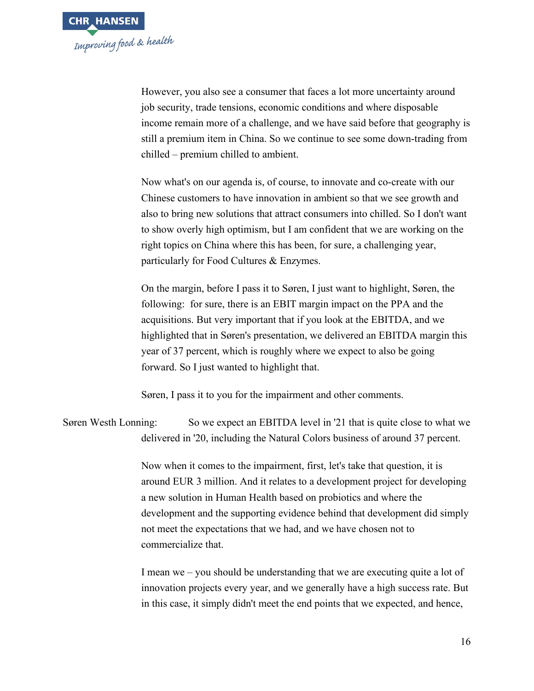

However, you also see a consumer that faces a lot more uncertainty around job security, trade tensions, economic conditions and where disposable income remain more of a challenge, and we have said before that geography is still a premium item in China. So we continue to see some down-trading from chilled – premium chilled to ambient.

Now what's on our agenda is, of course, to innovate and co-create with our Chinese customers to have innovation in ambient so that we see growth and also to bring new solutions that attract consumers into chilled. So I don't want to show overly high optimism, but I am confident that we are working on the right topics on China where this has been, for sure, a challenging year, particularly for Food Cultures & Enzymes.

On the margin, before I pass it to Søren, I just want to highlight, Søren, the following: for sure, there is an EBIT margin impact on the PPA and the acquisitions. But very important that if you look at the EBITDA, and we highlighted that in Søren's presentation, we delivered an EBITDA margin this year of 37 percent, which is roughly where we expect to also be going forward. So I just wanted to highlight that.

Søren, I pass it to you for the impairment and other comments.

Søren Westh Lonning: So we expect an EBITDA level in '21 that is quite close to what we delivered in '20, including the Natural Colors business of around 37 percent.

> Now when it comes to the impairment, first, let's take that question, it is around EUR 3 million. And it relates to a development project for developing a new solution in Human Health based on probiotics and where the development and the supporting evidence behind that development did simply not meet the expectations that we had, and we have chosen not to commercialize that.

> I mean we – you should be understanding that we are executing quite a lot of innovation projects every year, and we generally have a high success rate. But in this case, it simply didn't meet the end points that we expected, and hence,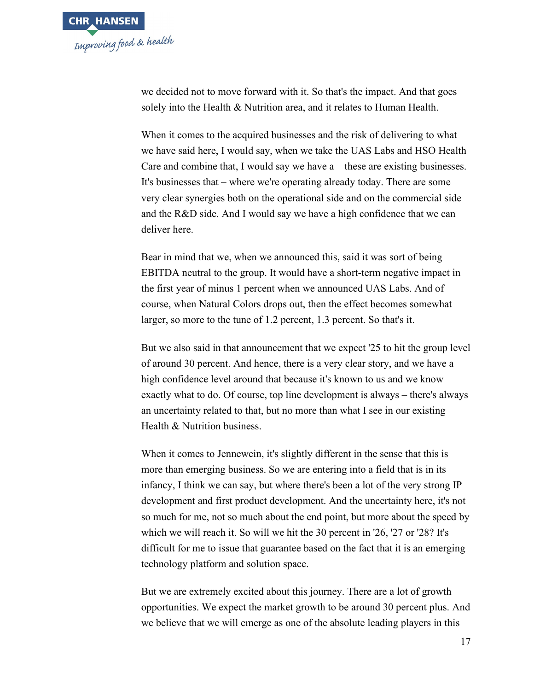

we decided not to move forward with it. So that's the impact. And that goes solely into the Health & Nutrition area, and it relates to Human Health.

When it comes to the acquired businesses and the risk of delivering to what we have said here, I would say, when we take the UAS Labs and HSO Health Care and combine that, I would say we have a – these are existing businesses. It's businesses that – where we're operating already today. There are some very clear synergies both on the operational side and on the commercial side and the R&D side. And I would say we have a high confidence that we can deliver here.

Bear in mind that we, when we announced this, said it was sort of being EBITDA neutral to the group. It would have a short-term negative impact in the first year of minus 1 percent when we announced UAS Labs. And of course, when Natural Colors drops out, then the effect becomes somewhat larger, so more to the tune of 1.2 percent, 1.3 percent. So that's it.

But we also said in that announcement that we expect '25 to hit the group level of around 30 percent. And hence, there is a very clear story, and we have a high confidence level around that because it's known to us and we know exactly what to do. Of course, top line development is always – there's always an uncertainty related to that, but no more than what I see in our existing Health & Nutrition business.

When it comes to Jennewein, it's slightly different in the sense that this is more than emerging business. So we are entering into a field that is in its infancy, I think we can say, but where there's been a lot of the very strong IP development and first product development. And the uncertainty here, it's not so much for me, not so much about the end point, but more about the speed by which we will reach it. So will we hit the 30 percent in '26, '27 or '28? It's difficult for me to issue that guarantee based on the fact that it is an emerging technology platform and solution space.

But we are extremely excited about this journey. There are a lot of growth opportunities. We expect the market growth to be around 30 percent plus. And we believe that we will emerge as one of the absolute leading players in this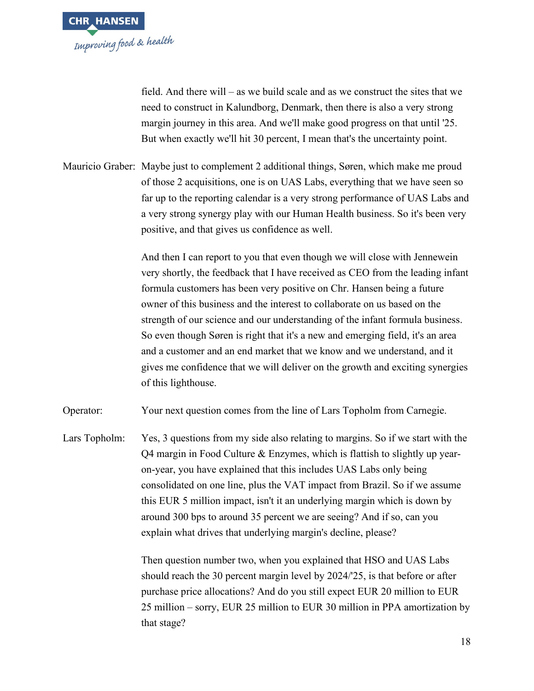

field. And there will – as we build scale and as we construct the sites that we need to construct in Kalundborg, Denmark, then there is also a very strong margin journey in this area. And we'll make good progress on that until '25. But when exactly we'll hit 30 percent, I mean that's the uncertainty point.

Mauricio Graber: Maybe just to complement 2 additional things, Søren, which make me proud of those 2 acquisitions, one is on UAS Labs, everything that we have seen so far up to the reporting calendar is a very strong performance of UAS Labs and a very strong synergy play with our Human Health business. So it's been very positive, and that gives us confidence as well.

> And then I can report to you that even though we will close with Jennewein very shortly, the feedback that I have received as CEO from the leading infant formula customers has been very positive on Chr. Hansen being a future owner of this business and the interest to collaborate on us based on the strength of our science and our understanding of the infant formula business. So even though Søren is right that it's a new and emerging field, it's an area and a customer and an end market that we know and we understand, and it gives me confidence that we will deliver on the growth and exciting synergies of this lighthouse.

Operator: Your next question comes from the line of Lars Topholm from Carnegie.

Lars Topholm: Yes, 3 questions from my side also relating to margins. So if we start with the Q4 margin in Food Culture & Enzymes, which is flattish to slightly up yearon-year, you have explained that this includes UAS Labs only being consolidated on one line, plus the VAT impact from Brazil. So if we assume this EUR 5 million impact, isn't it an underlying margin which is down by around 300 bps to around 35 percent we are seeing? And if so, can you explain what drives that underlying margin's decline, please?

> Then question number two, when you explained that HSO and UAS Labs should reach the 30 percent margin level by 2024/'25, is that before or after purchase price allocations? And do you still expect EUR 20 million to EUR 25 million – sorry, EUR 25 million to EUR 30 million in PPA amortization by that stage?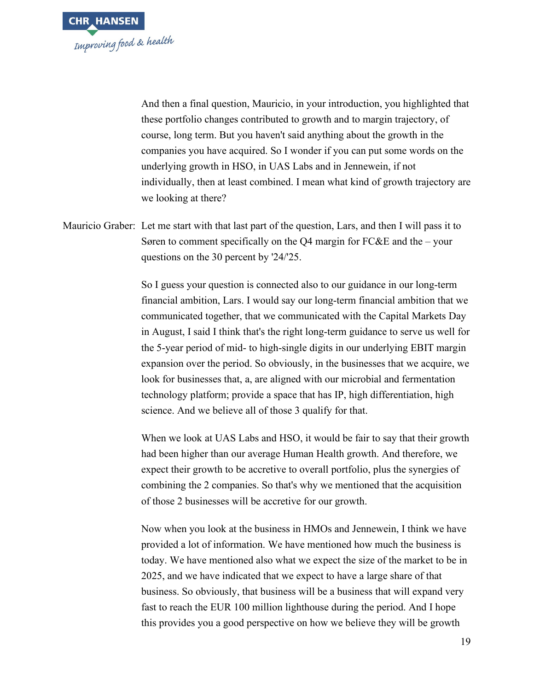

And then a final question, Mauricio, in your introduction, you highlighted that these portfolio changes contributed to growth and to margin trajectory, of course, long term. But you haven't said anything about the growth in the companies you have acquired. So I wonder if you can put some words on the underlying growth in HSO, in UAS Labs and in Jennewein, if not individually, then at least combined. I mean what kind of growth trajectory are we looking at there?

Mauricio Graber: Let me start with that last part of the question, Lars, and then I will pass it to Søren to comment specifically on the Q4 margin for FC&E and the – your questions on the 30 percent by '24/'25.

> So I guess your question is connected also to our guidance in our long-term financial ambition, Lars. I would say our long-term financial ambition that we communicated together, that we communicated with the Capital Markets Day in August, I said I think that's the right long-term guidance to serve us well for the 5-year period of mid- to high-single digits in our underlying EBIT margin expansion over the period. So obviously, in the businesses that we acquire, we look for businesses that, a, are aligned with our microbial and fermentation technology platform; provide a space that has IP, high differentiation, high science. And we believe all of those 3 qualify for that.

> When we look at UAS Labs and HSO, it would be fair to say that their growth had been higher than our average Human Health growth. And therefore, we expect their growth to be accretive to overall portfolio, plus the synergies of combining the 2 companies. So that's why we mentioned that the acquisition of those 2 businesses will be accretive for our growth.

> Now when you look at the business in HMOs and Jennewein, I think we have provided a lot of information. We have mentioned how much the business is today. We have mentioned also what we expect the size of the market to be in 2025, and we have indicated that we expect to have a large share of that business. So obviously, that business will be a business that will expand very fast to reach the EUR 100 million lighthouse during the period. And I hope this provides you a good perspective on how we believe they will be growth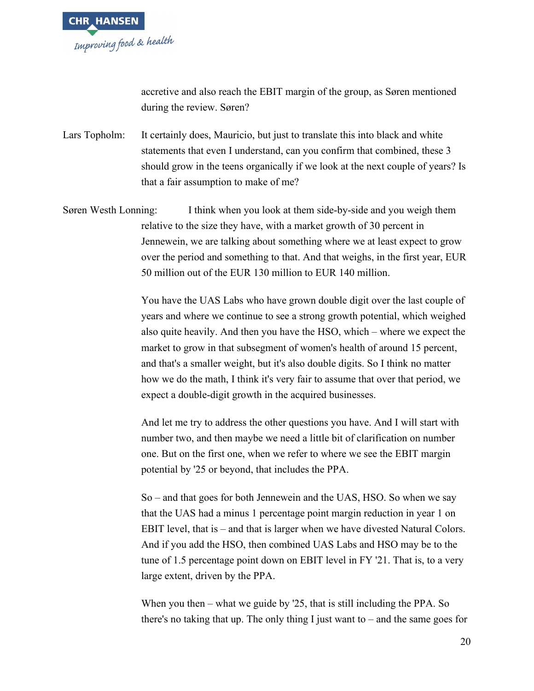

accretive and also reach the EBIT margin of the group, as Søren mentioned during the review. Søren?

Lars Topholm: It certainly does, Mauricio, but just to translate this into black and white statements that even I understand, can you confirm that combined, these 3 should grow in the teens organically if we look at the next couple of years? Is that a fair assumption to make of me?

Søren Westh Lonning: I think when you look at them side-by-side and you weigh them relative to the size they have, with a market growth of 30 percent in Jennewein, we are talking about something where we at least expect to grow over the period and something to that. And that weighs, in the first year, EUR 50 million out of the EUR 130 million to EUR 140 million.

> You have the UAS Labs who have grown double digit over the last couple of years and where we continue to see a strong growth potential, which weighed also quite heavily. And then you have the HSO, which – where we expect the market to grow in that subsegment of women's health of around 15 percent, and that's a smaller weight, but it's also double digits. So I think no matter how we do the math, I think it's very fair to assume that over that period, we expect a double-digit growth in the acquired businesses.

And let me try to address the other questions you have. And I will start with number two, and then maybe we need a little bit of clarification on number one. But on the first one, when we refer to where we see the EBIT margin potential by '25 or beyond, that includes the PPA.

So – and that goes for both Jennewein and the UAS, HSO. So when we say that the UAS had a minus 1 percentage point margin reduction in year 1 on EBIT level, that is – and that is larger when we have divested Natural Colors. And if you add the HSO, then combined UAS Labs and HSO may be to the tune of 1.5 percentage point down on EBIT level in FY '21. That is, to a very large extent, driven by the PPA.

When you then – what we guide by '25, that is still including the PPA. So there's no taking that up. The only thing I just want to – and the same goes for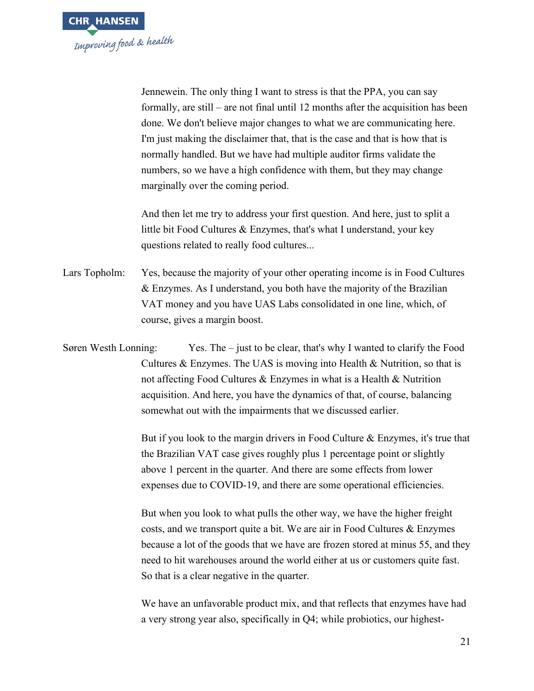

Jennewein. The only thing I want to stress is that the PPA, you can say formally, are still – are not final until 12 months after the acquisition has been done. We don't believe major changes to what we are communicating here. I'm just making the disclaimer that, that is the case and that is how that is normally handled. But we have had multiple auditor firms validate the numbers, so we have a high confidence with them, but they may change marginally over the coming period.

And then let me try to address your first question. And here, just to split a little bit Food Cultures & Enzymes, that's what I understand, your key questions related to really food cultures...

Lars Topholm: Yes, because the majority of your other operating income is in Food Cultures & Enzymes. As I understand, you both have the majority of the Brazilian VAT money and you have UAS Labs consolidated in one line, which, of course, gives a margin boost.

Søren Westh Lonning: Yes. The – just to be clear, that's why I wanted to clarify the Food Cultures & Enzymes. The UAS is moving into Health & Nutrition, so that is not affecting Food Cultures & Enzymes in what is a Health & Nutrition acquisition. And here, you have the dynamics of that, of course, balancing somewhat out with the impairments that we discussed earlier.

> But if you look to the margin drivers in Food Culture & Enzymes, it's true that the Brazilian VAT case gives roughly plus 1 percentage point or slightly above 1 percent in the quarter. And there are some effects from lower expenses due to COVID-19, and there are some operational efficiencies.

> But when you look to what pulls the other way, we have the higher freight costs, and we transport quite a bit. We are air in Food Cultures & Enzymes because a lot of the goods that we have are frozen stored at minus 55, and they need to hit warehouses around the world either at us or customers quite fast. So that is a clear negative in the quarter.

We have an unfavorable product mix, and that reflects that enzymes have had a very strong year also, specifically in Q4; while probiotics, our highest-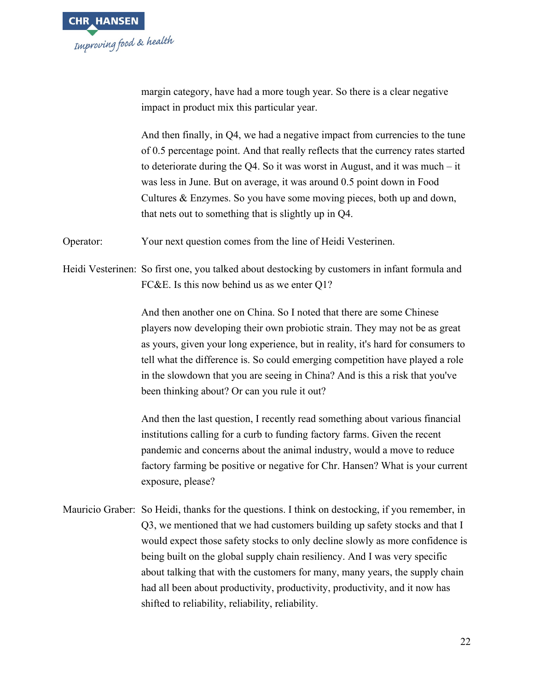

margin category, have had a more tough year. So there is a clear negative impact in product mix this particular year.

And then finally, in Q4, we had a negative impact from currencies to the tune of 0.5 percentage point. And that really reflects that the currency rates started to deteriorate during the Q4. So it was worst in August, and it was much – it was less in June. But on average, it was around 0.5 point down in Food Cultures & Enzymes. So you have some moving pieces, both up and down, that nets out to something that is slightly up in Q4.

Operator: Your next question comes from the line of Heidi Vesterinen.

Heidi Vesterinen: So first one, you talked about destocking by customers in infant formula and FC&E. Is this now behind us as we enter Q1?

> And then another one on China. So I noted that there are some Chinese players now developing their own probiotic strain. They may not be as great as yours, given your long experience, but in reality, it's hard for consumers to tell what the difference is. So could emerging competition have played a role in the slowdown that you are seeing in China? And is this a risk that you've been thinking about? Or can you rule it out?

And then the last question, I recently read something about various financial institutions calling for a curb to funding factory farms. Given the recent pandemic and concerns about the animal industry, would a move to reduce factory farming be positive or negative for Chr. Hansen? What is your current exposure, please?

Mauricio Graber: So Heidi, thanks for the questions. I think on destocking, if you remember, in Q3, we mentioned that we had customers building up safety stocks and that I would expect those safety stocks to only decline slowly as more confidence is being built on the global supply chain resiliency. And I was very specific about talking that with the customers for many, many years, the supply chain had all been about productivity, productivity, productivity, and it now has shifted to reliability, reliability, reliability.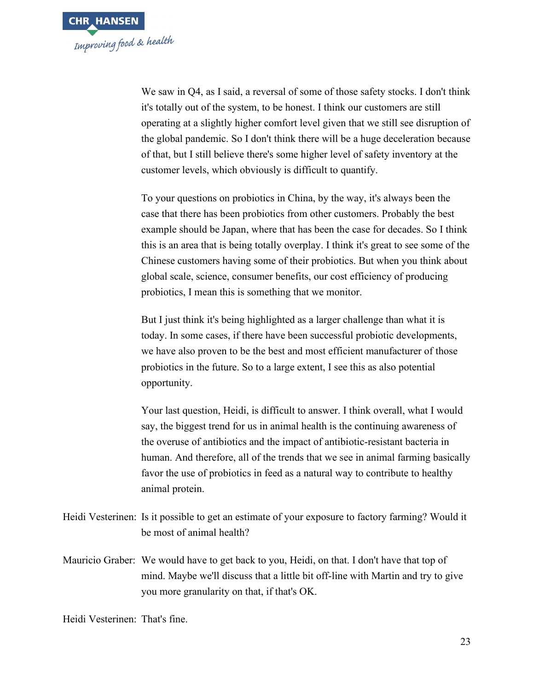

We saw in  $O4$ , as I said, a reversal of some of those safety stocks. I don't think it's totally out of the system, to be honest. I think our customers are still operating at a slightly higher comfort level given that we still see disruption of the global pandemic. So I don't think there will be a huge deceleration because of that, but I still believe there's some higher level of safety inventory at the customer levels, which obviously is difficult to quantify.

To your questions on probiotics in China, by the way, it's always been the case that there has been probiotics from other customers. Probably the best example should be Japan, where that has been the case for decades. So I think this is an area that is being totally overplay. I think it's great to see some of the Chinese customers having some of their probiotics. But when you think about global scale, science, consumer benefits, our cost efficiency of producing probiotics, I mean this is something that we monitor.

But I just think it's being highlighted as a larger challenge than what it is today. In some cases, if there have been successful probiotic developments, we have also proven to be the best and most efficient manufacturer of those probiotics in the future. So to a large extent, I see this as also potential opportunity.

Your last question, Heidi, is difficult to answer. I think overall, what I would say, the biggest trend for us in animal health is the continuing awareness of the overuse of antibiotics and the impact of antibiotic-resistant bacteria in human. And therefore, all of the trends that we see in animal farming basically favor the use of probiotics in feed as a natural way to contribute to healthy animal protein.

- Heidi Vesterinen: Is it possible to get an estimate of your exposure to factory farming? Would it be most of animal health?
- Mauricio Graber: We would have to get back to you, Heidi, on that. I don't have that top of mind. Maybe we'll discuss that a little bit off-line with Martin and try to give you more granularity on that, if that's OK.

Heidi Vesterinen: That's fine.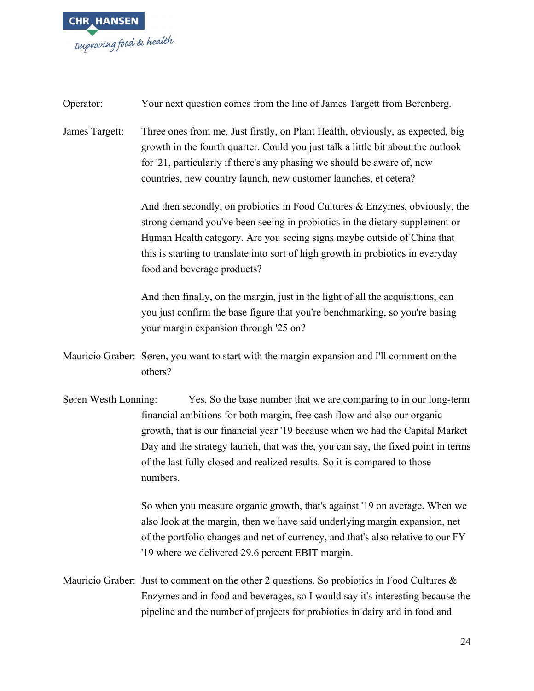

| Operator:            | Your next question comes from the line of James Targett from Berenberg.                                                                                                                                                                                                                                                                                                                                     |
|----------------------|-------------------------------------------------------------------------------------------------------------------------------------------------------------------------------------------------------------------------------------------------------------------------------------------------------------------------------------------------------------------------------------------------------------|
| James Targett:       | Three ones from me. Just firstly, on Plant Health, obviously, as expected, big<br>growth in the fourth quarter. Could you just talk a little bit about the outlook<br>for '21, particularly if there's any phasing we should be aware of, new<br>countries, new country launch, new customer launches, et cetera?                                                                                           |
|                      | And then secondly, on probiotics in Food Cultures & Enzymes, obviously, the<br>strong demand you've been seeing in probiotics in the dietary supplement or<br>Human Health category. Are you seeing signs maybe outside of China that<br>this is starting to translate into sort of high growth in probiotics in everyday<br>food and beverage products?                                                    |
|                      | And then finally, on the margin, just in the light of all the acquisitions, can<br>you just confirm the base figure that you're benchmarking, so you're basing<br>your margin expansion through '25 on?                                                                                                                                                                                                     |
|                      | Mauricio Graber: Søren, you want to start with the margin expansion and I'll comment on the<br>others?                                                                                                                                                                                                                                                                                                      |
| Søren Westh Lonning: | Yes. So the base number that we are comparing to in our long-term<br>financial ambitions for both margin, free cash flow and also our organic<br>growth, that is our financial year '19 because when we had the Capital Market<br>Day and the strategy launch, that was the, you can say, the fixed point in terms<br>of the last fully closed and realized results. So it is compared to those<br>numbers. |
|                      | So when you measure organic growth, that's against '19 on average. When we<br>also look at the margin, then we have said underlying margin expansion, net<br>of the portfolio changes and net of currency, and that's also relative to our FY<br>'19 where we delivered 29.6 percent EBIT margin.                                                                                                           |
|                      | Mauricio Graber: Just to comment on the other 2 questions. So probiotics in Food Cultures $\&$<br>Enzymes and in food and beverages, so I would say it's interesting because the                                                                                                                                                                                                                            |

pipeline and the number of projects for probiotics in dairy and in food and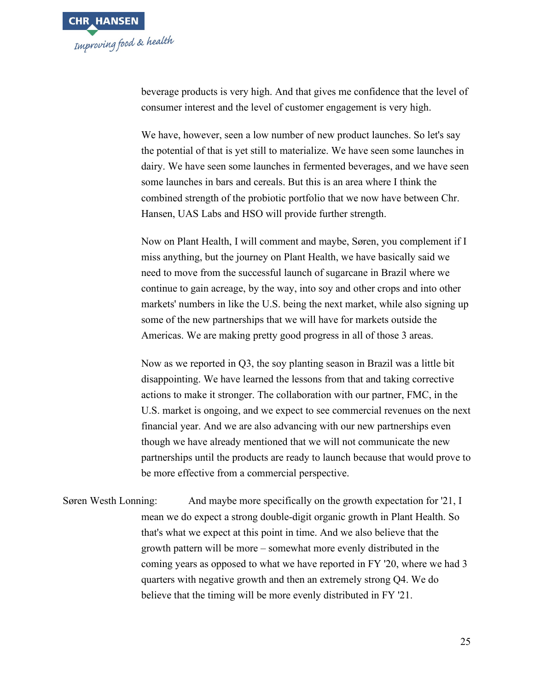

beverage products is very high. And that gives me confidence that the level of consumer interest and the level of customer engagement is very high.

We have, however, seen a low number of new product launches. So let's say the potential of that is yet still to materialize. We have seen some launches in dairy. We have seen some launches in fermented beverages, and we have seen some launches in bars and cereals. But this is an area where I think the combined strength of the probiotic portfolio that we now have between Chr. Hansen, UAS Labs and HSO will provide further strength.

Now on Plant Health, I will comment and maybe, Søren, you complement if I miss anything, but the journey on Plant Health, we have basically said we need to move from the successful launch of sugarcane in Brazil where we continue to gain acreage, by the way, into soy and other crops and into other markets' numbers in like the U.S. being the next market, while also signing up some of the new partnerships that we will have for markets outside the Americas. We are making pretty good progress in all of those 3 areas.

Now as we reported in Q3, the soy planting season in Brazil was a little bit disappointing. We have learned the lessons from that and taking corrective actions to make it stronger. The collaboration with our partner, FMC, in the U.S. market is ongoing, and we expect to see commercial revenues on the next financial year. And we are also advancing with our new partnerships even though we have already mentioned that we will not communicate the new partnerships until the products are ready to launch because that would prove to be more effective from a commercial perspective.

Søren Westh Lonning: And maybe more specifically on the growth expectation for '21, I mean we do expect a strong double-digit organic growth in Plant Health. So that's what we expect at this point in time. And we also believe that the growth pattern will be more – somewhat more evenly distributed in the coming years as opposed to what we have reported in FY '20, where we had 3 quarters with negative growth and then an extremely strong Q4. We do believe that the timing will be more evenly distributed in FY '21.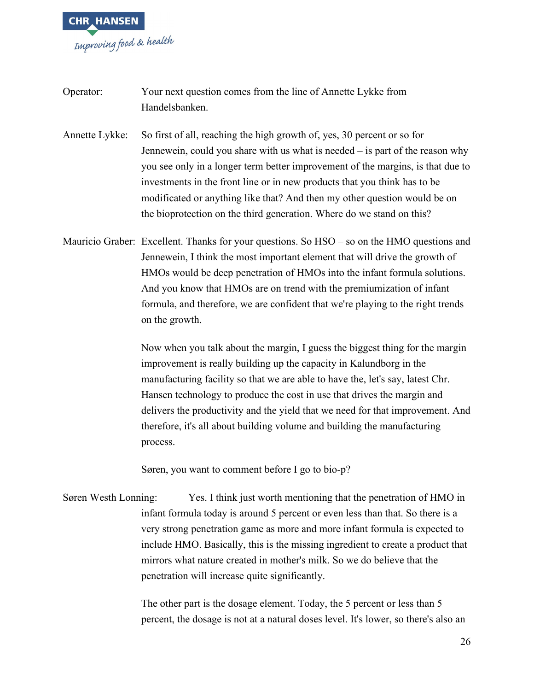

Operator: Your next question comes from the line of Annette Lykke from Handelsbanken.

Annette Lykke: So first of all, reaching the high growth of, yes, 30 percent or so for Jennewein, could you share with us what is needed – is part of the reason why you see only in a longer term better improvement of the margins, is that due to investments in the front line or in new products that you think has to be modificated or anything like that? And then my other question would be on the bioprotection on the third generation. Where do we stand on this?

Mauricio Graber: Excellent. Thanks for your questions. So HSO – so on the HMO questions and Jennewein, I think the most important element that will drive the growth of HMOs would be deep penetration of HMOs into the infant formula solutions. And you know that HMOs are on trend with the premiumization of infant formula, and therefore, we are confident that we're playing to the right trends on the growth.

> Now when you talk about the margin, I guess the biggest thing for the margin improvement is really building up the capacity in Kalundborg in the manufacturing facility so that we are able to have the, let's say, latest Chr. Hansen technology to produce the cost in use that drives the margin and delivers the productivity and the yield that we need for that improvement. And therefore, it's all about building volume and building the manufacturing process.

Søren, you want to comment before I go to bio-p?

Søren Westh Lonning: Yes. I think just worth mentioning that the penetration of HMO in infant formula today is around 5 percent or even less than that. So there is a very strong penetration game as more and more infant formula is expected to include HMO. Basically, this is the missing ingredient to create a product that mirrors what nature created in mother's milk. So we do believe that the penetration will increase quite significantly.

> The other part is the dosage element. Today, the 5 percent or less than 5 percent, the dosage is not at a natural doses level. It's lower, so there's also an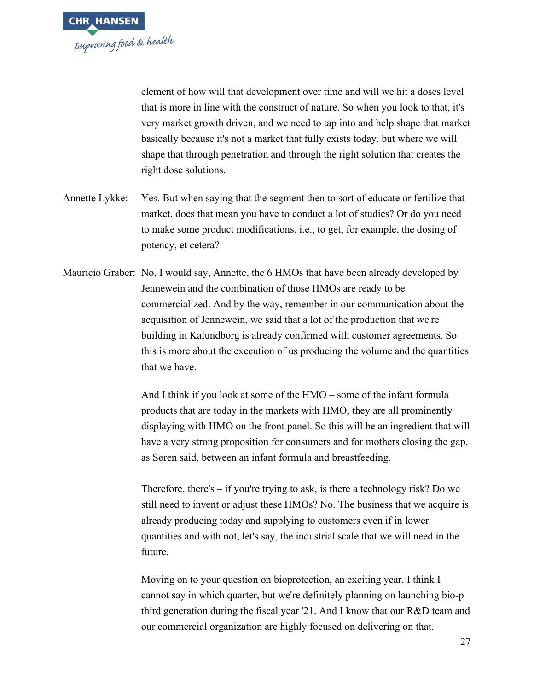

element of how will that development over time and will we hit a doses level that is more in line with the construct of nature. So when you look to that, it's very market growth driven, and we need to tap into and help shape that market basically because it's not a market that fully exists today, but where we will shape that through penetration and through the right solution that creates the right dose solutions.

- Annette Lykke: Yes. But when saying that the segment then to sort of educate or fertilize that market, does that mean you have to conduct a lot of studies? Or do you need to make some product modifications, i.e., to get, for example, the dosing of potency, et cetera?
- Mauricio Graber: No, I would say, Annette, the 6 HMOs that have been already developed by Jennewein and the combination of those HMOs are ready to be commercialized. And by the way, remember in our communication about the acquisition of Jennewein, we said that a lot of the production that we're building in Kalundborg is already confirmed with customer agreements. So this is more about the execution of us producing the volume and the quantities that we have.

And I think if you look at some of the HMO – some of the infant formula products that are today in the markets with HMO, they are all prominently displaying with HMO on the front panel. So this will be an ingredient that will have a very strong proposition for consumers and for mothers closing the gap, as Søren said, between an infant formula and breastfeeding.

Therefore, there's  $-$  if you're trying to ask, is there a technology risk? Do we still need to invent or adjust these HMOs? No. The business that we acquire is already producing today and supplying to customers even if in lower quantities and with not, let's say, the industrial scale that we will need in the future.

Moving on to your question on bioprotection, an exciting year. I think I cannot say in which quarter, but we're definitely planning on launching bio-p third generation during the fiscal year '21. And I know that our R&D team and our commercial organization are highly focused on delivering on that.